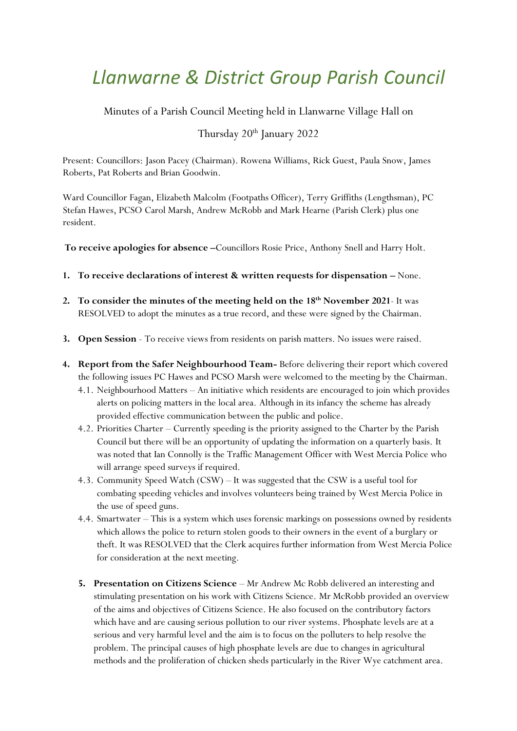# *Llanwarne & District Group Parish Council*

Minutes of a Parish Council Meeting held in Llanwarne Village Hall on

## Thursday 20<sup>th</sup> January 2022

Present: Councillors: Jason Pacey (Chairman). Rowena Williams, Rick Guest, Paula Snow, James Roberts, Pat Roberts and Brian Goodwin.

Ward Councillor Fagan, Elizabeth Malcolm (Footpaths Officer), Terry Griffiths (Lengthsman), PC Stefan Hawes, PCSO Carol Marsh, Andrew McRobb and Mark Hearne (Parish Clerk) plus one resident.

**To receive apologies for absence –**Councillors Rosie Price, Anthony Snell and Harry Holt.

- **1. To receive declarations of interest & written requests for dispensation –** None.
- 2. To consider the minutes of the meeting held on the 18<sup>th</sup> November 2021- It was RESOLVED to adopt the minutes as a true record, and these were signed by the Chairman.
- **3. Open Session** To receive views from residents on parish matters. No issues were raised.
- **4. Report from the Safer Neighbourhood Team-** Before delivering their report which covered the following issues PC Hawes and PCSO Marsh were welcomed to the meeting by the Chairman.
	- 4.1. Neighbourhood Matters An initiative which residents are encouraged to join which provides alerts on policing matters in the local area. Although in its infancy the scheme has already provided effective communication between the public and police.
	- 4.2. Priorities Charter Currently speeding is the priority assigned to the Charter by the Parish Council but there will be an opportunity of updating the information on a quarterly basis. It was noted that Ian Connolly is the Traffic Management Officer with West Mercia Police who will arrange speed surveys if required.
	- 4.3. Community Speed Watch (CSW) It was suggested that the CSW is a useful tool for combating speeding vehicles and involves volunteers being trained by West Mercia Police in the use of speed guns.
	- 4.4. Smartwater This is a system which uses forensic markings on possessions owned by residents which allows the police to return stolen goods to their owners in the event of a burglary or theft. It was RESOLVED that the Clerk acquires further information from West Mercia Police for consideration at the next meeting.
	- **5. Presentation on Citizens Science** Mr Andrew Mc Robb delivered an interesting and stimulating presentation on his work with Citizens Science. Mr McRobb provided an overview of the aims and objectives of Citizens Science. He also focused on the contributory factors which have and are causing serious pollution to our river systems. Phosphate levels are at a serious and very harmful level and the aim is to focus on the polluters to help resolve the problem. The principal causes of high phosphate levels are due to changes in agricultural methods and the proliferation of chicken sheds particularly in the River Wye catchment area.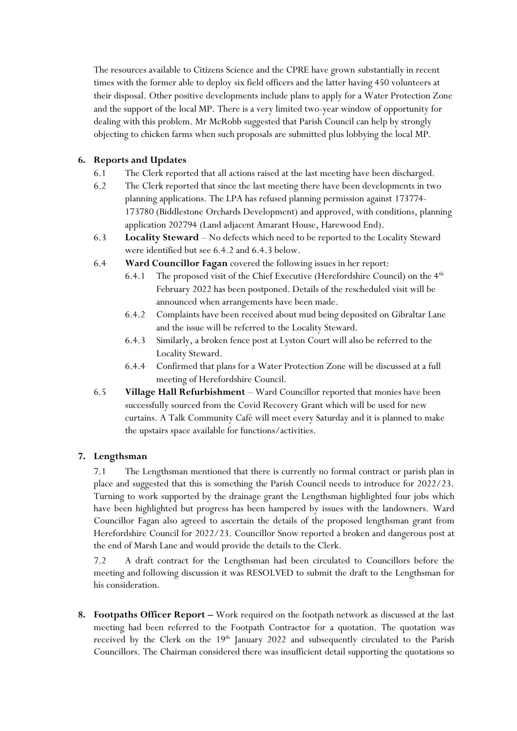The resources available to Citizens Science and the CPRE have grown substantially in recent times with the former able to deploy six field officers and the latter having 450 volunteers at their disposal. Other positive developments include plans to apply for a Water Protection Zone and the support of the local MP. There is a very limited two-year window of opportunity for dealing with this problem. Mr McRobb suggested that Parish Council can help by strongly objecting to chicken farms when such proposals are submitted plus lobbying the local MP.

### **6. Reports and Updates**

- 6.1 The Clerk reported that all actions raised at the last meeting have been discharged.
- 6.2 The Clerk reported that since the last meeting there have been developments in two planning applications. The LPA has refused planning permission against 173774- 173780 (Biddlestone Orchards Development) and approved, with conditions, planning application 202794 (Land adjacent Amarant House, Harewood End).
- 6.3 **Locality Steward** No defects which need to be reported to the Locality Steward were identified but see 6.4.2 and 6.4.3 below.
- 6.4 **Ward Councillor Fagan** covered the following issues in her report:
	- 6.4.1 The proposed visit of the Chief Executive (Herefordshire Council) on the  $4<sup>th</sup>$ February 2022 has been postponed. Details of the rescheduled visit will be announced when arrangements have been made.
	- 6.4.2 Complaints have been received about mud being deposited on Gibraltar Lane and the issue will be referred to the Locality Steward.
	- 6.4.3 Similarly, a broken fence post at Lyston Court will also be referred to the Locality Steward.
	- 6.4.4 Confirmed that plans for a Water Protection Zone will be discussed at a full meeting of Herefordshire Council.
- 6.5 **Village Hall Refurbishment** Ward Councillor reported that monies have been successfully sourced from the Covid Recovery Grant which will be used for new curtains. A Talk Community Café will meet every Saturday and it is planned to make the upstairs space available for functions/activities.

### **7. Lengthsman**

7.1 The Lengthsman mentioned that there is currently no formal contract or parish plan in place and suggested that this is something the Parish Council needs to introduce for 2022/23. Turning to work supported by the drainage grant the Lengthsman highlighted four jobs which have been highlighted but progress has been hampered by issues with the landowners. Ward Councillor Fagan also agreed to ascertain the details of the proposed lengthsman grant from Herefordshire Council for 2022/23. Councillor Snow reported a broken and dangerous post at the end of Marsh Lane and would provide the details to the Clerk.

7.2 A draft contract for the Lengthsman had been circulated to Councillors before the meeting and following discussion it was RESOLVED to submit the draft to the Lengthsman for his consideration.

**8. Footpaths Officer Report –** Work required on the footpath network as discussed at the last meeting had been referred to the Footpath Contractor for a quotation. The quotation was received by the Clerk on the  $19<sup>th</sup>$  January 2022 and subsequently circulated to the Parish Councillors. The Chairman considered there was insufficient detail supporting the quotations so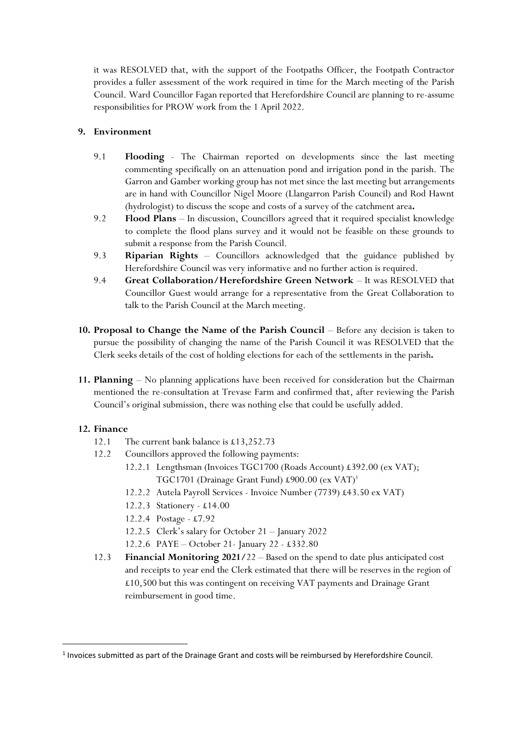it was RESOLVED that, with the support of the Footpaths Officer, the Footpath Contractor provides a fuller assessment of the work required in time for the March meeting of the Parish Council. Ward Councillor Fagan reported that Herefordshire Council are planning to re-assume responsibilities for PROW work from the 1 April 2022.

#### **9. Environment**

- 9.1 **Flooding** The Chairman reported on developments since the last meeting commenting specifically on an attenuation pond and irrigation pond in the parish. The Garron and Gamber working group has not met since the last meeting but arrangements are in hand with Councillor Nigel Moore (Llangarron Parish Council) and Rod Hawnt (hydrologist) to discuss the scope and costs of a survey of the catchment area**.**
- 9.2 **Flood Plans** In discussion, Councillors agreed that it required specialist knowledge to complete the flood plans survey and it would not be feasible on these grounds to submit a response from the Parish Council.
- 9.3 **Riparian Rights** Councillors acknowledged that the guidance published by Herefordshire Council was very informative and no further action is required.
- 9.4 **Great Collaboration/Herefordshire Green Network** It was RESOLVED that Councillor Guest would arrange for a representative from the Great Collaboration to talk to the Parish Council at the March meeting.
- **10. Proposal to Change the Name of the Parish Council** Before any decision is taken to pursue the possibility of changing the name of the Parish Council it was RESOLVED that the Clerk seeks details of the cost of holding elections for each of the settlements in the parish**.**
- **11. Planning** No planning applications have been received for consideration but the Chairman mentioned the re-consultation at Trevase Farm and confirmed that, after reviewing the Parish Council's original submission, there was nothing else that could be usefully added.

#### **12. Finance**

- 12.1 The current bank balance is £13,252.73
- 12.2 Councillors approved the following payments:
	- 12.2.1 Lengthsman (Invoices TGC1700 (Roads Account) £392.00 (ex VAT); TGC1701 (Drainage Grant Fund) £900.00 (ex VAT)<sup>1</sup>
	- 12.2.2 Autela Payroll Services Invoice Number (7739) £43.50 ex VAT)
	- 12.2.3 Stationery £14.00
	- 12.2.4 Postage £7.92
	- 12.2.5 Clerk's salary for October 21 January 2022
	- 12.2.6 PAYE October 21- January 22 £332.80
- 12.3 **Financial Monitoring 2021/**22 Based on the spend to date plus anticipated cost and receipts to year end the Clerk estimated that there will be reserves in the region of £10,500 but this was contingent on receiving VAT payments and Drainage Grant reimbursement in good time.

 $<sup>1</sup>$  Invoices submitted as part of the Drainage Grant and costs will be reimbursed by Herefordshire Council.</sup>